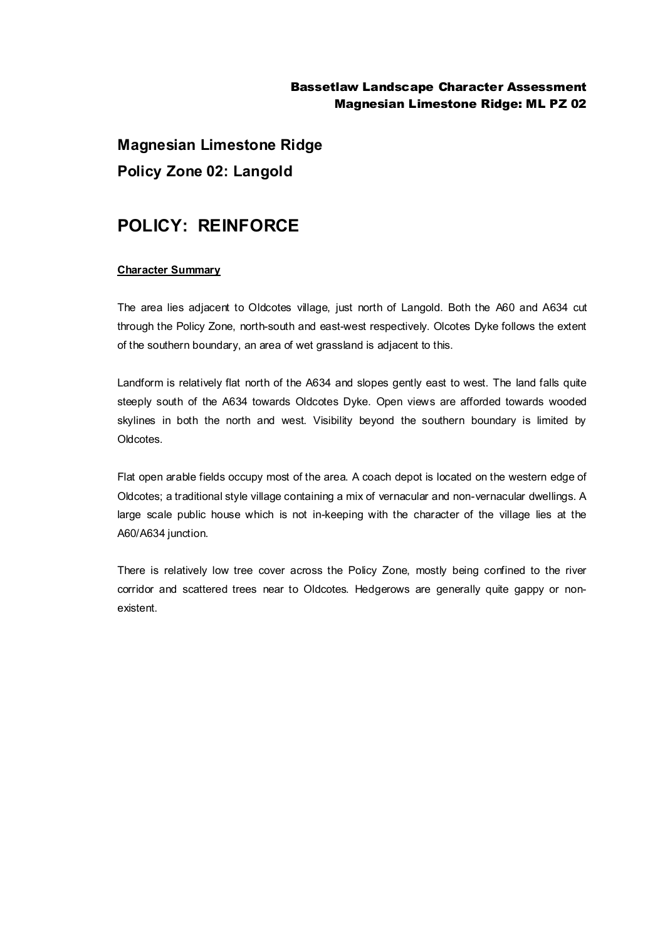## Bassetlaw Landscape Character Assessment Magnesian Limestone Ridge: ML PZ 02

**Magnesian Limestone Ridge Policy Zone 02: Langold**

# **POLICY: REINFORCE**

#### **Character Summary**

The area lies adjacent to Oldcotes village, just north of Langold. Both the A60 and A634 cut through the Policy Zone, north-south and east-west respectively. Olcotes Dyke follows the extent of the southern boundary, an area of wet grassland is adjacent to this.

Landform is relatively flat north of the A634 and slopes gently east to west. The land falls quite steeply south of the A634 towards Oldcotes Dyke. Open views are afforded towards wooded skylines in both the north and west. Visibility beyond the southern boundary is limited by Oldcotes.

Flat open arable fields occupy most of the area. A coach depot is located on the western edge of Oldcotes; a traditional style village containing a mix of vernacular and non-vernacular dwellings. A large scale public house which is not in-keeping with the character of the village lies at the A60/A634 junction.

There is relatively low tree cover across the Policy Zone, mostly being confined to the river corridor and scattered trees near to Oldcotes. Hedgerows are generally quite gappy or nonexistent.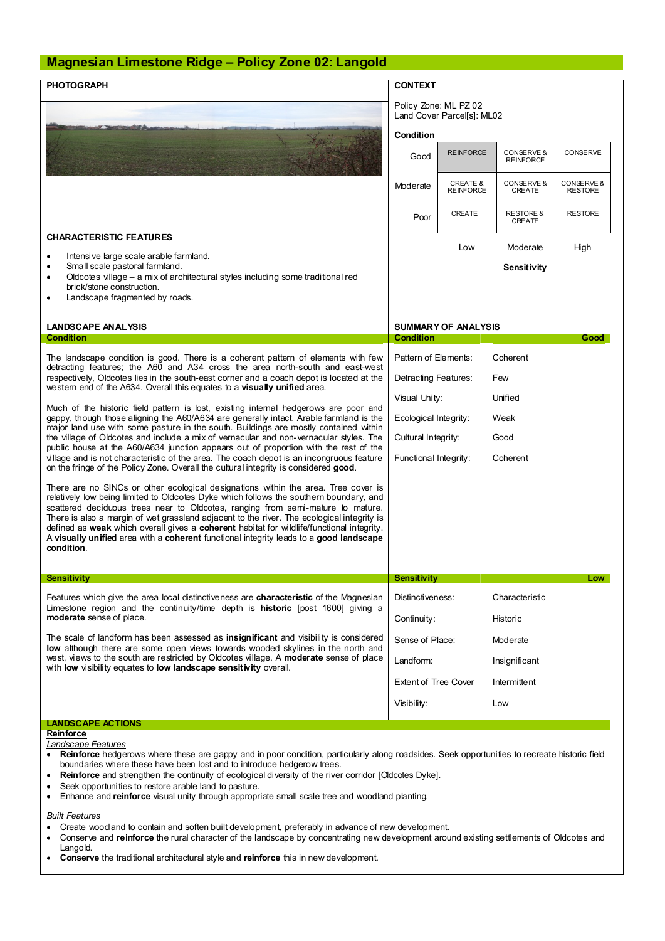### **Magnesian Limestone Ridge – Policy Zone 02: Langold**

| <b>PHOTOGRAPH</b>                                                                                                                                                                                                                                                                                                                                                                                                                                                                                                                                                                                                                                                                                                                                                                                                                                                                                   | <b>CONTEXT</b>              |                                                     |                                           |                              |  |
|-----------------------------------------------------------------------------------------------------------------------------------------------------------------------------------------------------------------------------------------------------------------------------------------------------------------------------------------------------------------------------------------------------------------------------------------------------------------------------------------------------------------------------------------------------------------------------------------------------------------------------------------------------------------------------------------------------------------------------------------------------------------------------------------------------------------------------------------------------------------------------------------------------|-----------------------------|-----------------------------------------------------|-------------------------------------------|------------------------------|--|
|                                                                                                                                                                                                                                                                                                                                                                                                                                                                                                                                                                                                                                                                                                                                                                                                                                                                                                     |                             | Policy Zone: ML PZ 02<br>Land Cover Parcel[s]: ML02 |                                           |                              |  |
|                                                                                                                                                                                                                                                                                                                                                                                                                                                                                                                                                                                                                                                                                                                                                                                                                                                                                                     |                             | Condition                                           |                                           |                              |  |
|                                                                                                                                                                                                                                                                                                                                                                                                                                                                                                                                                                                                                                                                                                                                                                                                                                                                                                     | Good                        | <b>REINFORCE</b>                                    | <b>CONSERVE &amp;</b><br><b>REINFORCE</b> | CONSERVE                     |  |
|                                                                                                                                                                                                                                                                                                                                                                                                                                                                                                                                                                                                                                                                                                                                                                                                                                                                                                     | Moderate                    | <b>CREATE &amp;</b><br><b>REINFORCE</b>             | CONSERVE &<br>CREATE                      | CONSERVE &<br><b>RESTORE</b> |  |
|                                                                                                                                                                                                                                                                                                                                                                                                                                                                                                                                                                                                                                                                                                                                                                                                                                                                                                     | Poor                        | CREATE                                              | <b>RESTORE &amp;</b><br>CREATE            | <b>RESTORE</b>               |  |
| <b>CHARACTERISTIC FEATURES</b>                                                                                                                                                                                                                                                                                                                                                                                                                                                                                                                                                                                                                                                                                                                                                                                                                                                                      |                             | Low                                                 | Moderate                                  | High                         |  |
| Intensive large scale arable farmland.<br>٠<br>Small scale pastoral farmland.                                                                                                                                                                                                                                                                                                                                                                                                                                                                                                                                                                                                                                                                                                                                                                                                                       |                             |                                                     |                                           |                              |  |
| ٠<br>Oldcotes village - a mix of architectural styles including some traditional red<br>٠                                                                                                                                                                                                                                                                                                                                                                                                                                                                                                                                                                                                                                                                                                                                                                                                           |                             |                                                     | Sensitivity                               |                              |  |
| brick/stone construction.<br>Landscape fragmented by roads.<br>٠                                                                                                                                                                                                                                                                                                                                                                                                                                                                                                                                                                                                                                                                                                                                                                                                                                    |                             |                                                     |                                           |                              |  |
|                                                                                                                                                                                                                                                                                                                                                                                                                                                                                                                                                                                                                                                                                                                                                                                                                                                                                                     |                             |                                                     |                                           |                              |  |
| <b>LANDSCAPE ANALYSIS</b>                                                                                                                                                                                                                                                                                                                                                                                                                                                                                                                                                                                                                                                                                                                                                                                                                                                                           | <b>SUMMARY OF ANALYSIS</b>  |                                                     |                                           |                              |  |
| Condition                                                                                                                                                                                                                                                                                                                                                                                                                                                                                                                                                                                                                                                                                                                                                                                                                                                                                           | <b>Condition</b>            |                                                     |                                           | Good                         |  |
| The landscape condition is good. There is a coherent pattern of elements with few<br>detracting features; the A60 and A34 cross the area north-south and east-west<br>respectively, Oldcotes lies in the south-east corner and a coach depot is located at the<br>western end of the A634. Overall this equates to a visually unified area.<br>Much of the historic field pattern is lost, existing internal hedgerows are poor and<br>gappy, though those aligning the A60/A634 are generally intact. Arable farmland is the<br>major land use with some pasture in the south. Buildings are mostly contained within<br>the village of Oldcotes and include a mix of vernacular and non-vernacular styles. The<br>public house at the A60/A634 junction appears out of proportion with the rest of the<br>village and is not characteristic of the area. The coach depot is an incongruous feature | Pattern of Elements:        |                                                     | Coherent                                  |                              |  |
|                                                                                                                                                                                                                                                                                                                                                                                                                                                                                                                                                                                                                                                                                                                                                                                                                                                                                                     | Detracting Features:<br>Few |                                                     |                                           |                              |  |
|                                                                                                                                                                                                                                                                                                                                                                                                                                                                                                                                                                                                                                                                                                                                                                                                                                                                                                     | Visual Unity:               |                                                     | Unified                                   |                              |  |
|                                                                                                                                                                                                                                                                                                                                                                                                                                                                                                                                                                                                                                                                                                                                                                                                                                                                                                     | Ecological Integrity:       |                                                     | Weak                                      |                              |  |
|                                                                                                                                                                                                                                                                                                                                                                                                                                                                                                                                                                                                                                                                                                                                                                                                                                                                                                     |                             | Cultural Integrity:<br>Good                         |                                           |                              |  |
|                                                                                                                                                                                                                                                                                                                                                                                                                                                                                                                                                                                                                                                                                                                                                                                                                                                                                                     | Functional Integrity:       |                                                     | Coherent                                  |                              |  |
| on the fringe of the Policy Zone. Overall the cultural integrity is considered good.                                                                                                                                                                                                                                                                                                                                                                                                                                                                                                                                                                                                                                                                                                                                                                                                                |                             |                                                     |                                           |                              |  |
| There are no SINCs or other ecological designations within the area. Tree cover is<br>relatively low being limited to Oldcotes Dyke which follows the southern boundary, and<br>scattered deciduous trees near to Oldcotes, ranging from semi-mature to mature.<br>There is also a margin of wet grassland adjacent to the river. The ecological integrity is<br>defined as weak which overall gives a coherent habitat for wildlife/functional integrity.<br>A visually unified area with a coherent functional integrity leads to a good landscape<br>condition.                                                                                                                                                                                                                                                                                                                                  |                             |                                                     |                                           |                              |  |
| <b>Sensitivity</b>                                                                                                                                                                                                                                                                                                                                                                                                                                                                                                                                                                                                                                                                                                                                                                                                                                                                                  | Sensitivity                 |                                                     |                                           | Low                          |  |
| Features which give the area local distinctiveness are <b>characteristic</b> of the Magnesian<br>Limestone region and the continuity/time depth is historic [post 1600] giving a<br>moderate sense of place.                                                                                                                                                                                                                                                                                                                                                                                                                                                                                                                                                                                                                                                                                        | Distinctiveness:            |                                                     | Characteristic                            |                              |  |
|                                                                                                                                                                                                                                                                                                                                                                                                                                                                                                                                                                                                                                                                                                                                                                                                                                                                                                     | Continuity:                 |                                                     | Historic                                  |                              |  |
| The scale of landform has been assessed as <b>insignificant</b> and visibility is considered<br>low although there are some open views towards wooded skylines in the north and<br>west, views to the south are restricted by Oldcotes village. A moderate sense of place<br>with low visibility equates to low landscape sensitivity overall.                                                                                                                                                                                                                                                                                                                                                                                                                                                                                                                                                      | Sense of Place:             |                                                     | Moderate                                  |                              |  |
|                                                                                                                                                                                                                                                                                                                                                                                                                                                                                                                                                                                                                                                                                                                                                                                                                                                                                                     | Landform:                   |                                                     | Insignificant                             |                              |  |
|                                                                                                                                                                                                                                                                                                                                                                                                                                                                                                                                                                                                                                                                                                                                                                                                                                                                                                     |                             | <b>Extent of Tree Cover</b><br>Intermittent         |                                           |                              |  |
|                                                                                                                                                                                                                                                                                                                                                                                                                                                                                                                                                                                                                                                                                                                                                                                                                                                                                                     | Visibility:                 |                                                     | Low                                       |                              |  |
| <b>LANDSCAPE ACTIONS</b>                                                                                                                                                                                                                                                                                                                                                                                                                                                                                                                                                                                                                                                                                                                                                                                                                                                                            |                             |                                                     |                                           |                              |  |
| Reinforce<br>Landscape Features                                                                                                                                                                                                                                                                                                                                                                                                                                                                                                                                                                                                                                                                                                                                                                                                                                                                     |                             |                                                     |                                           |                              |  |

- · **Reinforce** hedgerows where these are gappy and in poor condition, particularly along roadsides. Seek opportunities to recreate historic field boundaries where these have been lost and to introduce hedgerow trees.
- · **Reinforce** and strengthen the continuity of ecological diversity of the river corridor [Oldcotes Dyke].
- Seek opportunities to restore arable land to pasture.
- · Enhance and **reinforce** visual unity through appropriate small scale tree and woodland planting.

#### *Built Features*

- · Create woodland to contain and soften built development, preferably in advance of new development.
- · Conserve and **reinforce** the rural character of the landscape by concentrating new development around existing settlements of Oldcotes and Langold.
- · **Conserve** the traditional architectural style and **reinforce** this in new development.